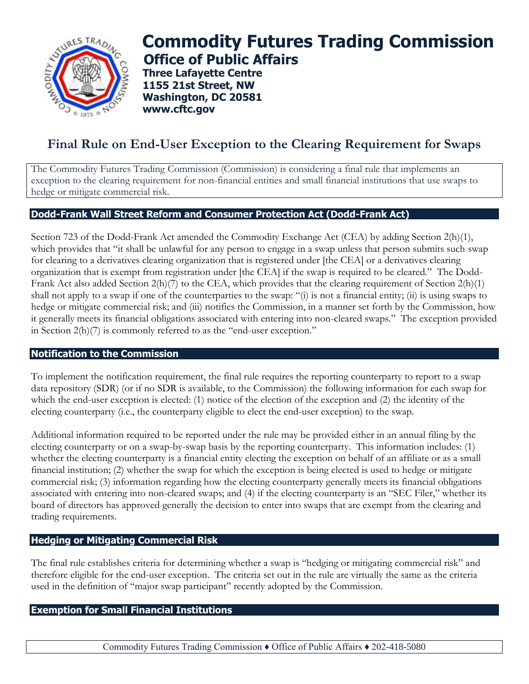

# **Commodity Futures Trading Commission Office of Public Affairs**

**Three Lafayette Centre 1155 21st Street, NW Washington, DC 20581 www.cftc.gov**

## **Final Rule on End-User Exception to the Clearing Requirement for Swaps**

The Commodity Futures Trading Commission (Commission) is considering a final rule that implements an exception to the clearing requirement for non-financial entities and small financial institutions that use swaps to hedge or mitigate commercial risk.

### **Dodd-Frank Wall Street Reform and Consumer Protection Act (Dodd-Frank Act)**

Section 723 of the Dodd-Frank Act amended the Commodity Exchange Act (CEA) by adding Section 2(h)(1), which provides that "it shall be unlawful for any person to engage in a swap unless that person submits such swap for clearing to a derivatives clearing organization that is registered under [the CEA] or a derivatives clearing organization that is exempt from registration under [the CEA] if the swap is required to be cleared." The Dodd-Frank Act also added Section 2(h)(7) to the CEA, which provides that the clearing requirement of Section 2(h)(1) shall not apply to a swap if one of the counterparties to the swap: "(i) is not a financial entity; (ii) is using swaps to hedge or mitigate commercial risk; and (iii) notifies the Commission, in a manner set forth by the Commission, how it generally meets its financial obligations associated with entering into non-cleared swaps." The exception provided in Section 2(h)(7) is commonly referred to as the "end-user exception."

### **Notification to the Commission**

To implement the notification requirement, the final rule requires the reporting counterparty to report to a swap data repository (SDR) (or if no SDR is available, to the Commission) the following information for each swap for which the end-user exception is elected: (1) notice of the election of the exception and (2) the identity of the electing counterparty (i.e., the counterparty eligible to elect the end-user exception) to the swap.

Additional information required to be reported under the rule may be provided either in an annual filing by the electing counterparty or on a swap-by-swap basis by the reporting counterparty. This information includes: (1) whether the electing counterparty is a financial entity electing the exception on behalf of an affiliate or as a small financial institution; (2) whether the swap for which the exception is being elected is used to hedge or mitigate commercial risk; (3) information regarding how the electing counterparty generally meets its financial obligations associated with entering into non-cleared swaps; and (4) if the electing counterparty is an "SEC Filer," whether its board of directors has approved generally the decision to enter into swaps that are exempt from the clearing and trading requirements.

### **Hedging or Mitigating Commercial Risk**

The final rule establishes criteria for determining whether a swap is "hedging or mitigating commercial risk" and therefore eligible for the end-user exception. The criteria set out in the rule are virtually the same as the criteria used in the definition of "major swap participant" recently adopted by the Commission.

### **Exemption for Small Financial Institutions**

Commodity Futures Trading Commission ♦ Office of Public Affairs ♦ 202-418-5080